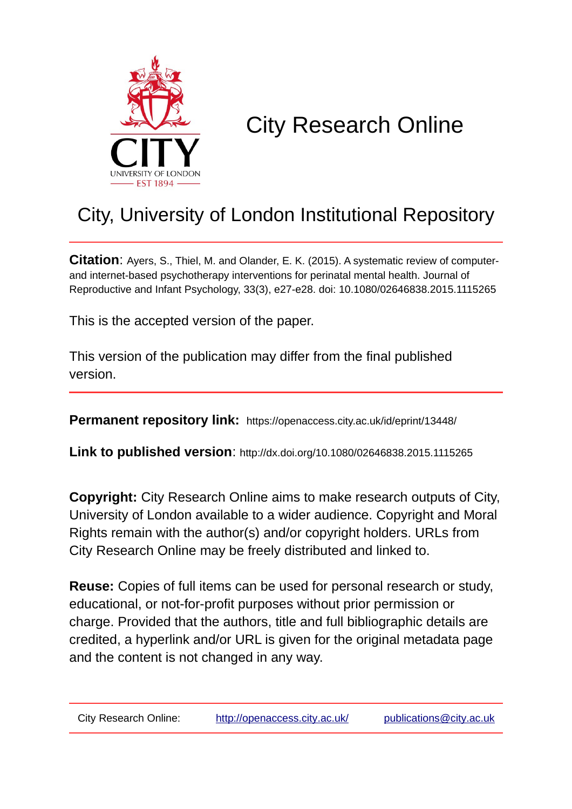

# City Research Online

# City, University of London Institutional Repository

**Citation**: Ayers, S., Thiel, M. and Olander, E. K. (2015). A systematic review of computerand internet-based psychotherapy interventions for perinatal mental health. Journal of Reproductive and Infant Psychology, 33(3), e27-e28. doi: 10.1080/02646838.2015.1115265

This is the accepted version of the paper.

This version of the publication may differ from the final published version.

**Permanent repository link:** https://openaccess.city.ac.uk/id/eprint/13448/

**Link to published version**: http://dx.doi.org/10.1080/02646838.2015.1115265

**Copyright:** City Research Online aims to make research outputs of City, University of London available to a wider audience. Copyright and Moral Rights remain with the author(s) and/or copyright holders. URLs from City Research Online may be freely distributed and linked to.

**Reuse:** Copies of full items can be used for personal research or study, educational, or not-for-profit purposes without prior permission or charge. Provided that the authors, title and full bibliographic details are credited, a hyperlink and/or URL is given for the original metadata page and the content is not changed in any way.